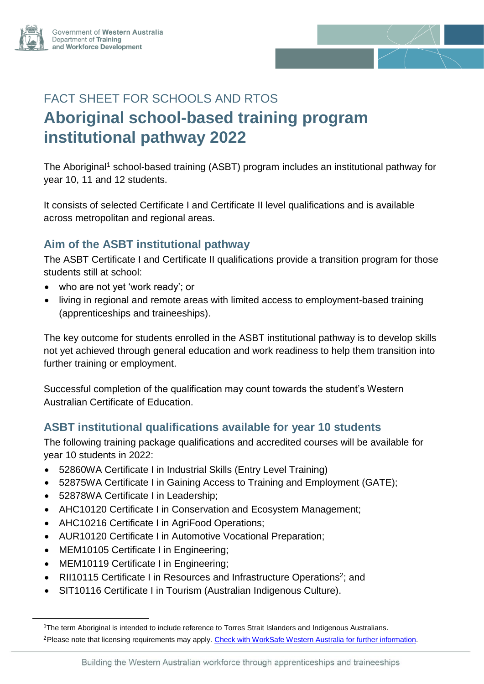



# FACT SHEET FOR SCHOOLS AND RTOS **Aboriginal school-based training program institutional pathway 2022**

The Aboriginal<sup>1</sup> school-based training (ASBT) program includes an institutional pathway for year 10, 11 and 12 students.

It consists of selected Certificate I and Certificate II level qualifications and is available across metropolitan and regional areas.

## **Aim of the ASBT institutional pathway**

The ASBT Certificate I and Certificate II qualifications provide a transition program for those students still at school:

- who are not yet 'work ready'; or
- living in regional and remote areas with limited access to employment-based training (apprenticeships and traineeships).

The key outcome for students enrolled in the ASBT institutional pathway is to develop skills not yet achieved through general education and work readiness to help them transition into further training or employment.

Successful completion of the qualification may count towards the student's Western Australian Certificate of Education.

#### **ASBT institutional qualifications available for year 10 students**

The following training package qualifications and accredited courses will be available for year 10 students in 2022:

- 52860WA Certificate I in Industrial Skills (Entry Level Training)
- 52875WA Certificate I in Gaining Access to Training and Employment (GATE);
- 52878WA Certificate I in Leadership;
- AHC10120 Certificate I in Conservation and Ecosystem Management;
- AHC10216 Certificate I in AgriFood Operations;
- AUR10120 Certificate I in Automotive Vocational Preparation;
- MEM10105 Certificate I in Engineering;
- MEM10119 Certificate I in Engineering;

-

- RII10115 Certificate I in Resources and Infrastructure Operations<sup>2</sup>; and
- SIT10116 Certificate I in Tourism (Australian Indigenous Culture).

<sup>&</sup>lt;sup>1</sup>The term Aboriginal is intended to include reference to Torres Strait Islanders and Indigenous Australians. 2Please note that licensing requirements may apply. [Check with WorkSafe Western Australia for further information.](http://www.commerce.wa.gov.au/worksafe/)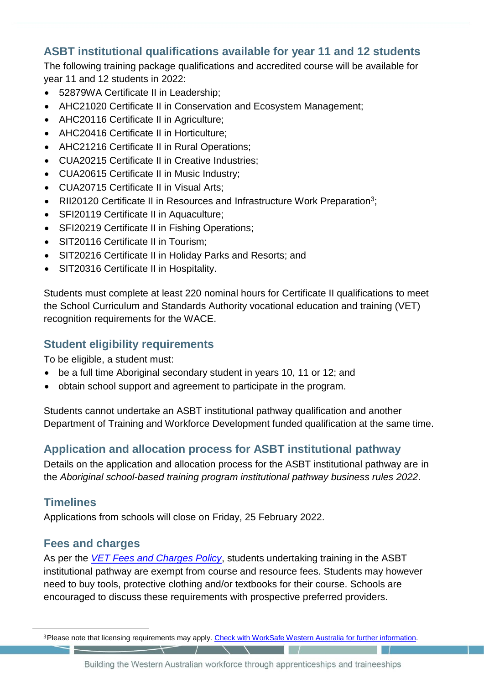# **ASBT institutional qualifications available for year 11 and 12 students**

The following training package qualifications and accredited course will be available for year 11 and 12 students in 2022:

- 52879WA Certificate II in Leadership;
- AHC21020 Certificate II in Conservation and Ecosystem Management;
- AHC20116 Certificate II in Agriculture;
- AHC20416 Certificate II in Horticulture;
- AHC21216 Certificate II in Rural Operations;
- CUA20215 Certificate II in Creative Industries;
- CUA20615 Certificate II in Music Industry;
- CUA20715 Certificate II in Visual Arts;
- RII20120 Certificate II in Resources and Infrastructure Work Preparation<sup>3</sup>;
- SFI20119 Certificate II in Aquaculture;
- SFI20219 Certificate II in Fishing Operations;
- SIT20116 Certificate II in Tourism:
- SIT20216 Certificate II in Holiday Parks and Resorts; and
- SIT20316 Certificate II in Hospitality.

Students must complete at least 220 nominal hours for Certificate II qualifications to meet the School Curriculum and Standards Authority vocational education and training (VET) recognition requirements for the WACE.

#### **Student eligibility requirements**

To be eligible, a student must:

- be a full time Aboriginal secondary student in years 10, 11 or 12; and
- obtain school support and agreement to participate in the program.

Students cannot undertake an ASBT institutional pathway qualification and another Department of Training and Workforce Development funded qualification at the same time.

# **Application and allocation process for ASBT institutional pathway**

Details on the application and allocation process for the ASBT institutional pathway are in the *Aboriginal school-based training program institutional pathway business rules 2022*.

#### **Timelines**

-

Applications from schools will close on Friday, 25 February 2022.

#### **Fees and charges**

As per the *[VET Fees and Charges Policy](https://www.dtwd.wa.gov.au/about-us#vet-fees-and-charges-policy)*, students undertaking training in the ASBT institutional pathway are exempt from course and resource fees. Students may however need to buy tools, protective clothing and/or textbooks for their course. Schools are encouraged to discuss these requirements with prospective preferred providers.

<sup>3</sup>Please note that licensing requirements may apply. [Check with WorkSafe Western Australia for further information.](http://www.commerce.wa.gov.au/worksafe/)